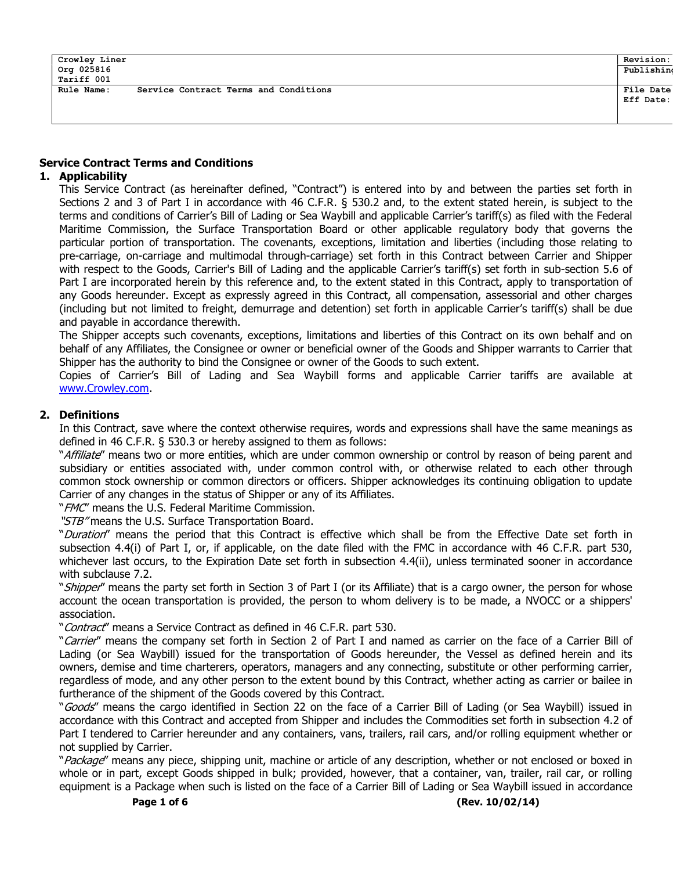## Service Contract Terms and Conditions

### 1. Applicability

This Service Contract (as hereinafter defined, "Contract") is entered into by and between the parties set forth in Sections 2 and 3 of Part I in accordance with 46 C.F.R. § 530.2 and, to the extent stated herein, is subject to the terms and conditions of Carrier's Bill of Lading or Sea Waybill and applicable Carrier's tariff(s) as filed with the Federal Maritime Commission, the Surface Transportation Board or other applicable regulatory body that governs the particular portion of transportation. The covenants, exceptions, limitation and liberties (including those relating to pre-carriage, on-carriage and multimodal through-carriage) set forth in this Contract between Carrier and Shipper with respect to the Goods, Carrier's Bill of Lading and the applicable Carrier's tariff(s) set forth in sub-section 5.6 of Part I are incorporated herein by this reference and, to the extent stated in this Contract, apply to transportation of any Goods hereunder. Except as expressly agreed in this Contract, all compensation, assessorial and other charges (including but not limited to freight, demurrage and detention) set forth in applicable Carrier's tariff(s) shall be due and payable in accordance therewith.

The Shipper accepts such covenants, exceptions, limitations and liberties of this Contract on its own behalf and on behalf of any Affiliates, the Consignee or owner or beneficial owner of the Goods and Shipper warrants to Carrier that Shipper has the authority to bind the Consignee or owner of the Goods to such extent.

Copies of Carrier's Bill of Lading and Sea Waybill forms and applicable Carrier tariffs are available at www.Crowley.com.

#### 2. Definitions

In this Contract, save where the context otherwise requires, words and expressions shall have the same meanings as defined in 46 C.F.R. § 530.3 or hereby assigned to them as follows:

"Affiliate" means two or more entities, which are under common ownership or control by reason of being parent and subsidiary or entities associated with, under common control with, or otherwise related to each other through common stock ownership or common directors or officers. Shipper acknowledges its continuing obligation to update Carrier of any changes in the status of Shipper or any of its Affiliates.

" FMC" means the U.S. Federal Maritime Commission.

"STB" means the U.S. Surface Transportation Board.

"Duration" means the period that this Contract is effective which shall be from the Effective Date set forth in subsection 4.4(i) of Part I, or, if applicable, on the date filed with the FMC in accordance with 46 C.F.R. part 530, whichever last occurs, to the Expiration Date set forth in subsection 4.4(ii), unless terminated sooner in accordance with subclause 7.2.

"Shipper" means the party set forth in Section 3 of Part I (or its Affiliate) that is a cargo owner, the person for whose account the ocean transportation is provided, the person to whom delivery is to be made, a NVOCC or a shippers' association.

"Contract" means a Service Contract as defined in 46 C.F.R. part 530.

"Carrier" means the company set forth in Section 2 of Part I and named as carrier on the face of a Carrier Bill of Lading (or Sea Waybill) issued for the transportation of Goods hereunder, the Vessel as defined herein and its owners, demise and time charterers, operators, managers and any connecting, substitute or other performing carrier, regardless of mode, and any other person to the extent bound by this Contract, whether acting as carrier or bailee in furtherance of the shipment of the Goods covered by this Contract.

"Goods" means the cargo identified in Section 22 on the face of a Carrier Bill of Lading (or Sea Waybill) issued in accordance with this Contract and accepted from Shipper and includes the Commodities set forth in subsection 4.2 of Part I tendered to Carrier hereunder and any containers, vans, trailers, rail cars, and/or rolling equipment whether or not supplied by Carrier.

"Package" means any piece, shipping unit, machine or article of any description, whether or not enclosed or boxed in whole or in part, except Goods shipped in bulk; provided, however, that a container, van, trailer, rail car, or rolling equipment is a Package when such is listed on the face of a Carrier Bill of Lading or Sea Waybill issued in accordance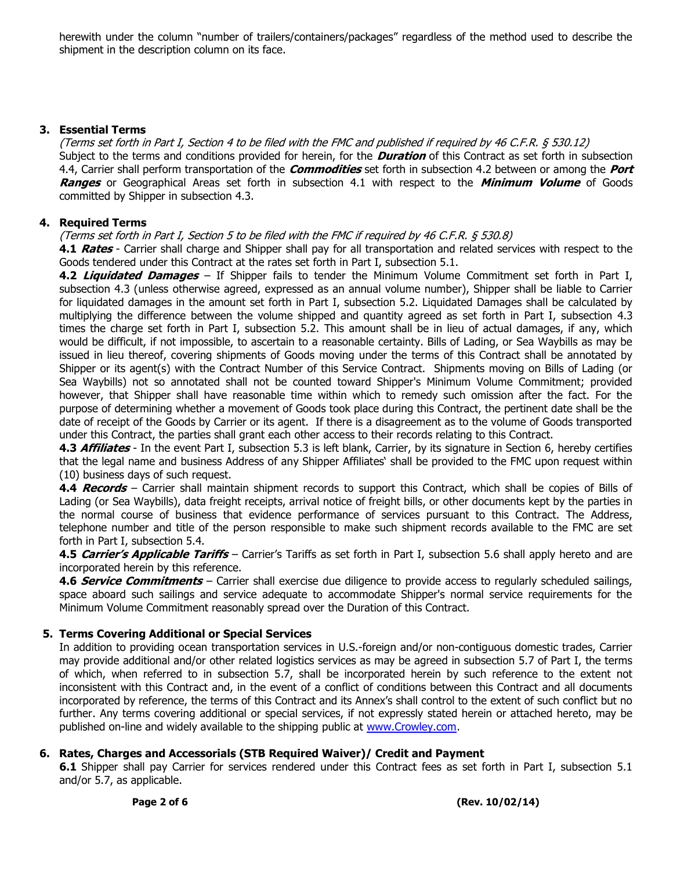herewith under the column "number of trailers/containers/packages" regardless of the method used to describe the shipment in the description column on its face.

### 3. Essential Terms

(Terms set forth in Part I, Section 4 to be filed with the FMC and published if required by 46 C.F.R. § 530.12) Subject to the terms and conditions provided for herein, for the **Duration** of this Contract as set forth in subsection 4.4, Carrier shall perform transportation of the *Commodities* set forth in subsection 4.2 between or among the *Port* Ranges or Geographical Areas set forth in subsection 4.1 with respect to the Minimum Volume of Goods committed by Shipper in subsection 4.3.

### 4. Required Terms

#### (Terms set forth in Part I, Section 5 to be filed with the FMC if required by 46 C.F.R. § 530.8)

4.1 Rates - Carrier shall charge and Shipper shall pay for all transportation and related services with respect to the Goods tendered under this Contract at the rates set forth in Part I, subsection 5.1.

4.2 Liquidated Damages - If Shipper fails to tender the Minimum Volume Commitment set forth in Part I, subsection 4.3 (unless otherwise agreed, expressed as an annual volume number), Shipper shall be liable to Carrier for liquidated damages in the amount set forth in Part I, subsection 5.2. Liquidated Damages shall be calculated by multiplying the difference between the volume shipped and quantity agreed as set forth in Part I, subsection 4.3 times the charge set forth in Part I, subsection 5.2. This amount shall be in lieu of actual damages, if any, which would be difficult, if not impossible, to ascertain to a reasonable certainty. Bills of Lading, or Sea Waybills as may be issued in lieu thereof, covering shipments of Goods moving under the terms of this Contract shall be annotated by Shipper or its agent(s) with the Contract Number of this Service Contract. Shipments moving on Bills of Lading (or Sea Waybills) not so annotated shall not be counted toward Shipper's Minimum Volume Commitment; provided however, that Shipper shall have reasonable time within which to remedy such omission after the fact. For the purpose of determining whether a movement of Goods took place during this Contract, the pertinent date shall be the date of receipt of the Goods by Carrier or its agent. If there is a disagreement as to the volume of Goods transported under this Contract, the parties shall grant each other access to their records relating to this Contract.

4.3 **Affiliates** - In the event Part I, subsection 5.3 is left blank, Carrier, by its signature in Section 6, hereby certifies that the legal name and business Address of any Shipper Affiliates' shall be provided to the FMC upon request within (10) business days of such request.

4.4 Records – Carrier shall maintain shipment records to support this Contract, which shall be copies of Bills of Lading (or Sea Waybills), data freight receipts, arrival notice of freight bills, or other documents kept by the parties in the normal course of business that evidence performance of services pursuant to this Contract. The Address, telephone number and title of the person responsible to make such shipment records available to the FMC are set forth in Part I, subsection 5.4.

4.5 Carrier's Applicable Tariffs – Carrier's Tariffs as set forth in Part I, subsection 5.6 shall apply hereto and are incorporated herein by this reference.

4.6 Service Commitments – Carrier shall exercise due diligence to provide access to regularly scheduled sailings, space aboard such sailings and service adequate to accommodate Shipper's normal service requirements for the Minimum Volume Commitment reasonably spread over the Duration of this Contract.

### 5. Terms Covering Additional or Special Services

In addition to providing ocean transportation services in U.S.-foreign and/or non-contiguous domestic trades, Carrier may provide additional and/or other related logistics services as may be agreed in subsection 5.7 of Part I, the terms of which, when referred to in subsection 5.7, shall be incorporated herein by such reference to the extent not inconsistent with this Contract and, in the event of a conflict of conditions between this Contract and all documents incorporated by reference, the terms of this Contract and its Annex's shall control to the extent of such conflict but no further. Any terms covering additional or special services, if not expressly stated herein or attached hereto, may be published on-line and widely available to the shipping public at www.Crowley.com.

### 6. Rates, Charges and Accessorials (STB Required Waiver)/ Credit and Payment

6.1 Shipper shall pay Carrier for services rendered under this Contract fees as set forth in Part I, subsection 5.1 and/or 5.7, as applicable.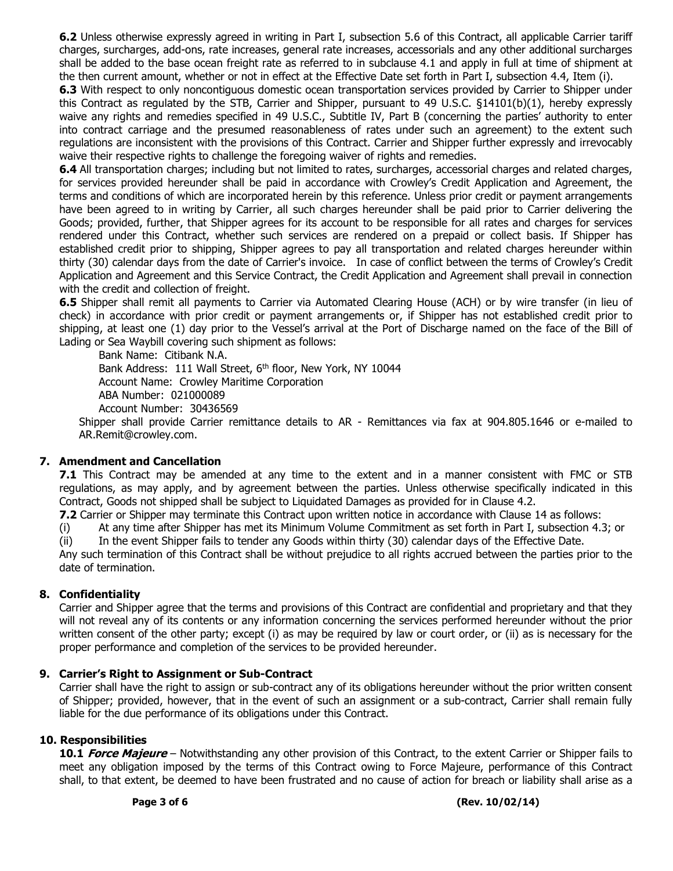6.2 Unless otherwise expressly agreed in writing in Part I, subsection 5.6 of this Contract, all applicable Carrier tariff charges, surcharges, add-ons, rate increases, general rate increases, accessorials and any other additional surcharges shall be added to the base ocean freight rate as referred to in subclause 4.1 and apply in full at time of shipment at the then current amount, whether or not in effect at the Effective Date set forth in Part I, subsection 4.4, Item (i).

6.3 With respect to only noncontiguous domestic ocean transportation services provided by Carrier to Shipper under this Contract as regulated by the STB, Carrier and Shipper, pursuant to 49 U.S.C. §14101(b)(1), hereby expressly waive any rights and remedies specified in 49 U.S.C., Subtitle IV, Part B (concerning the parties' authority to enter into contract carriage and the presumed reasonableness of rates under such an agreement) to the extent such regulations are inconsistent with the provisions of this Contract. Carrier and Shipper further expressly and irrevocably waive their respective rights to challenge the foregoing waiver of rights and remedies.

6.4 All transportation charges; including but not limited to rates, surcharges, accessorial charges and related charges, for services provided hereunder shall be paid in accordance with Crowley's Credit Application and Agreement, the terms and conditions of which are incorporated herein by this reference. Unless prior credit or payment arrangements have been agreed to in writing by Carrier, all such charges hereunder shall be paid prior to Carrier delivering the Goods; provided, further, that Shipper agrees for its account to be responsible for all rates and charges for services rendered under this Contract, whether such services are rendered on a prepaid or collect basis. If Shipper has established credit prior to shipping, Shipper agrees to pay all transportation and related charges hereunder within thirty (30) calendar days from the date of Carrier's invoice. In case of conflict between the terms of Crowley's Credit Application and Agreement and this Service Contract, the Credit Application and Agreement shall prevail in connection with the credit and collection of freight.

6.5 Shipper shall remit all payments to Carrier via Automated Clearing House (ACH) or by wire transfer (in lieu of check) in accordance with prior credit or payment arrangements or, if Shipper has not established credit prior to shipping, at least one (1) day prior to the Vessel's arrival at the Port of Discharge named on the face of the Bill of Lading or Sea Waybill covering such shipment as follows:

Bank Name: Citibank N.A. Bank Address: 111 Wall Street, 6<sup>th</sup> floor, New York, NY 10044 Account Name: Crowley Maritime Corporation ABA Number: 021000089 Account Number: 30436569

Shipper shall provide Carrier remittance details to AR - Remittances via fax at 904.805.1646 or e-mailed to AR.Remit@crowley.com.

# 7. Amendment and Cancellation

**7.1** This Contract may be amended at any time to the extent and in a manner consistent with FMC or STB regulations, as may apply, and by agreement between the parties. Unless otherwise specifically indicated in this Contract, Goods not shipped shall be subject to Liquidated Damages as provided for in Clause 4.2.

7.2 Carrier or Shipper may terminate this Contract upon written notice in accordance with Clause 14 as follows:

(i) At any time after Shipper has met its Minimum Volume Commitment as set forth in Part I, subsection 4.3; or (ii) In the event Shipper fails to tender any Goods within thirty (30) calendar days of the Effective Date.

Any such termination of this Contract shall be without prejudice to all rights accrued between the parties prior to the date of termination.

### 8. Confidentiality

Carrier and Shipper agree that the terms and provisions of this Contract are confidential and proprietary and that they will not reveal any of its contents or any information concerning the services performed hereunder without the prior written consent of the other party; except (i) as may be required by law or court order, or (ii) as is necessary for the proper performance and completion of the services to be provided hereunder.

### 9. Carrier's Right to Assignment or Sub-Contract

Carrier shall have the right to assign or sub-contract any of its obligations hereunder without the prior written consent of Shipper; provided, however, that in the event of such an assignment or a sub-contract, Carrier shall remain fully liable for the due performance of its obligations under this Contract.

### 10. Responsibilities

10.1 Force Majeure – Notwithstanding any other provision of this Contract, to the extent Carrier or Shipper fails to meet any obligation imposed by the terms of this Contract owing to Force Majeure, performance of this Contract shall, to that extent, be deemed to have been frustrated and no cause of action for breach or liability shall arise as a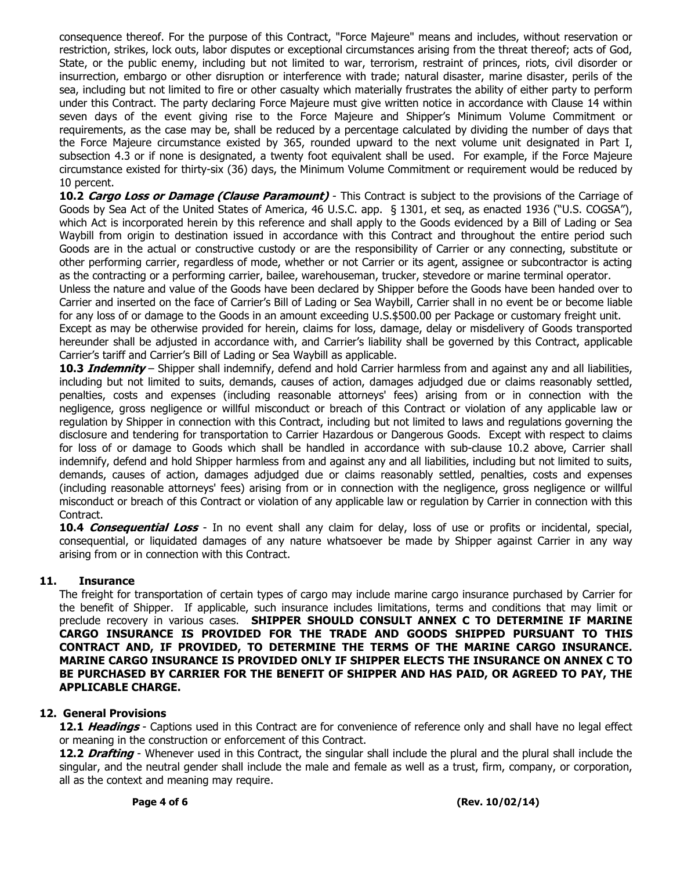consequence thereof. For the purpose of this Contract, "Force Majeure" means and includes, without reservation or restriction, strikes, lock outs, labor disputes or exceptional circumstances arising from the threat thereof; acts of God, State, or the public enemy, including but not limited to war, terrorism, restraint of princes, riots, civil disorder or insurrection, embargo or other disruption or interference with trade; natural disaster, marine disaster, perils of the sea, including but not limited to fire or other casualty which materially frustrates the ability of either party to perform under this Contract. The party declaring Force Majeure must give written notice in accordance with Clause 14 within seven days of the event giving rise to the Force Majeure and Shipper's Minimum Volume Commitment or requirements, as the case may be, shall be reduced by a percentage calculated by dividing the number of days that the Force Majeure circumstance existed by 365, rounded upward to the next volume unit designated in Part I, subsection 4.3 or if none is designated, a twenty foot equivalent shall be used. For example, if the Force Majeure circumstance existed for thirty-six (36) days, the Minimum Volume Commitment or requirement would be reduced by 10 percent.

10.2 Cargo Loss or Damage (Clause Paramount) - This Contract is subject to the provisions of the Carriage of Goods by Sea Act of the United States of America, 46 U.S.C. app. § 1301, et seq, as enacted 1936 ("U.S. COGSA"), which Act is incorporated herein by this reference and shall apply to the Goods evidenced by a Bill of Lading or Sea Waybill from origin to destination issued in accordance with this Contract and throughout the entire period such Goods are in the actual or constructive custody or are the responsibility of Carrier or any connecting, substitute or other performing carrier, regardless of mode, whether or not Carrier or its agent, assignee or subcontractor is acting as the contracting or a performing carrier, bailee, warehouseman, trucker, stevedore or marine terminal operator.

Unless the nature and value of the Goods have been declared by Shipper before the Goods have been handed over to Carrier and inserted on the face of Carrier's Bill of Lading or Sea Waybill, Carrier shall in no event be or become liable for any loss of or damage to the Goods in an amount exceeding U.S.\$500.00 per Package or customary freight unit.

Except as may be otherwise provided for herein, claims for loss, damage, delay or misdelivery of Goods transported hereunder shall be adjusted in accordance with, and Carrier's liability shall be governed by this Contract, applicable Carrier's tariff and Carrier's Bill of Lading or Sea Waybill as applicable.

10.3 *Indemnity* – Shipper shall indemnify, defend and hold Carrier harmless from and against any and all liabilities, including but not limited to suits, demands, causes of action, damages adjudged due or claims reasonably settled, penalties, costs and expenses (including reasonable attorneys' fees) arising from or in connection with the negligence, gross negligence or willful misconduct or breach of this Contract or violation of any applicable law or regulation by Shipper in connection with this Contract, including but not limited to laws and regulations governing the disclosure and tendering for transportation to Carrier Hazardous or Dangerous Goods. Except with respect to claims for loss of or damage to Goods which shall be handled in accordance with sub-clause 10.2 above, Carrier shall indemnify, defend and hold Shipper harmless from and against any and all liabilities, including but not limited to suits, demands, causes of action, damages adjudged due or claims reasonably settled, penalties, costs and expenses (including reasonable attorneys' fees) arising from or in connection with the negligence, gross negligence or willful misconduct or breach of this Contract or violation of any applicable law or regulation by Carrier in connection with this Contract.

10.4 Consequential Loss - In no event shall any claim for delay, loss of use or profits or incidental, special, consequential, or liquidated damages of any nature whatsoever be made by Shipper against Carrier in any way arising from or in connection with this Contract.

### 11. Insurance

The freight for transportation of certain types of cargo may include marine cargo insurance purchased by Carrier for the benefit of Shipper. If applicable, such insurance includes limitations, terms and conditions that may limit or preclude recovery in various cases. SHIPPER SHOULD CONSULT ANNEX C TO DETERMINE IF MARINE CARGO INSURANCE IS PROVIDED FOR THE TRADE AND GOODS SHIPPED PURSUANT TO THIS CONTRACT AND, IF PROVIDED, TO DETERMINE THE TERMS OF THE MARINE CARGO INSURANCE. MARINE CARGO INSURANCE IS PROVIDED ONLY IF SHIPPER ELECTS THE INSURANCE ON ANNEX C TO BE PURCHASED BY CARRIER FOR THE BENEFIT OF SHIPPER AND HAS PAID, OR AGREED TO PAY, THE APPLICABLE CHARGE.

### 12. General Provisions

12.1 Headings - Captions used in this Contract are for convenience of reference only and shall have no legal effect or meaning in the construction or enforcement of this Contract.

12.2 Drafting - Whenever used in this Contract, the singular shall include the plural and the plural shall include the singular, and the neutral gender shall include the male and female as well as a trust, firm, company, or corporation, all as the context and meaning may require.